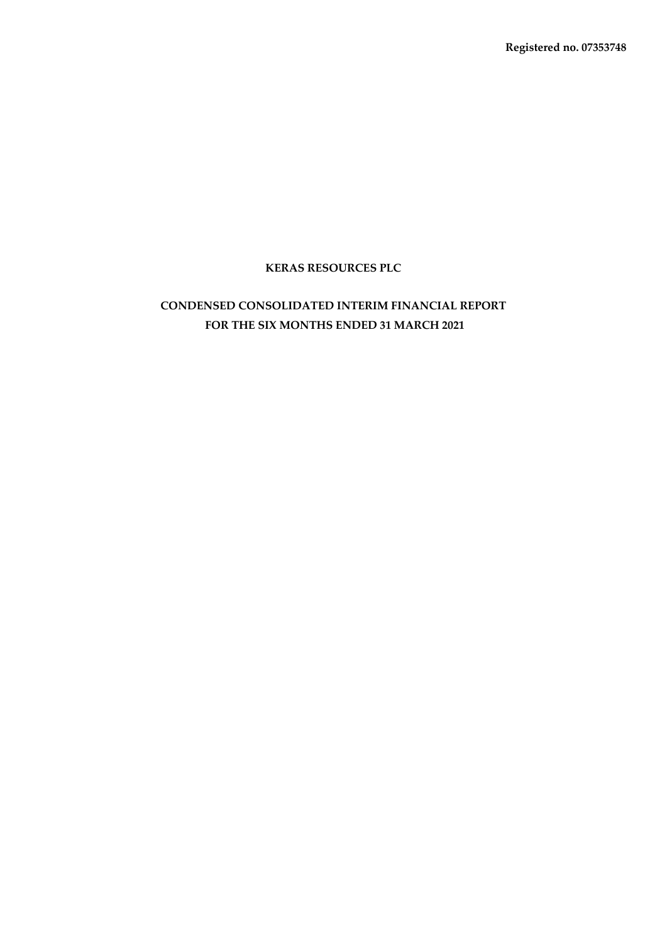**Registered no. 07353748**

# **KERAS RESOURCES PLC**

# **CONDENSED CONSOLIDATED INTERIM FINANCIAL REPORT FOR THE SIX MONTHS ENDED 31 MARCH 2021**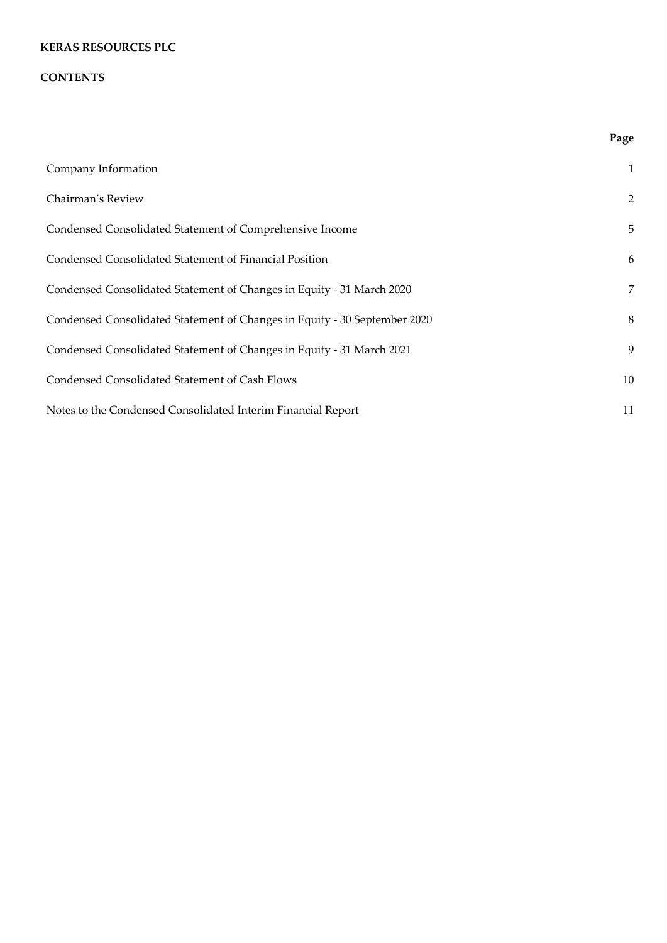### **CONTENTS**

|                                                                           | Page           |
|---------------------------------------------------------------------------|----------------|
| Company Information                                                       | $\mathbf{1}$   |
| Chairman's Review                                                         | $\overline{2}$ |
| Condensed Consolidated Statement of Comprehensive Income                  | 5              |
| Condensed Consolidated Statement of Financial Position                    | 6              |
| Condensed Consolidated Statement of Changes in Equity - 31 March 2020     | 7              |
| Condensed Consolidated Statement of Changes in Equity - 30 September 2020 | 8              |
| Condensed Consolidated Statement of Changes in Equity - 31 March 2021     | 9              |
| Condensed Consolidated Statement of Cash Flows                            | 10             |
| Notes to the Condensed Consolidated Interim Financial Report              | 11             |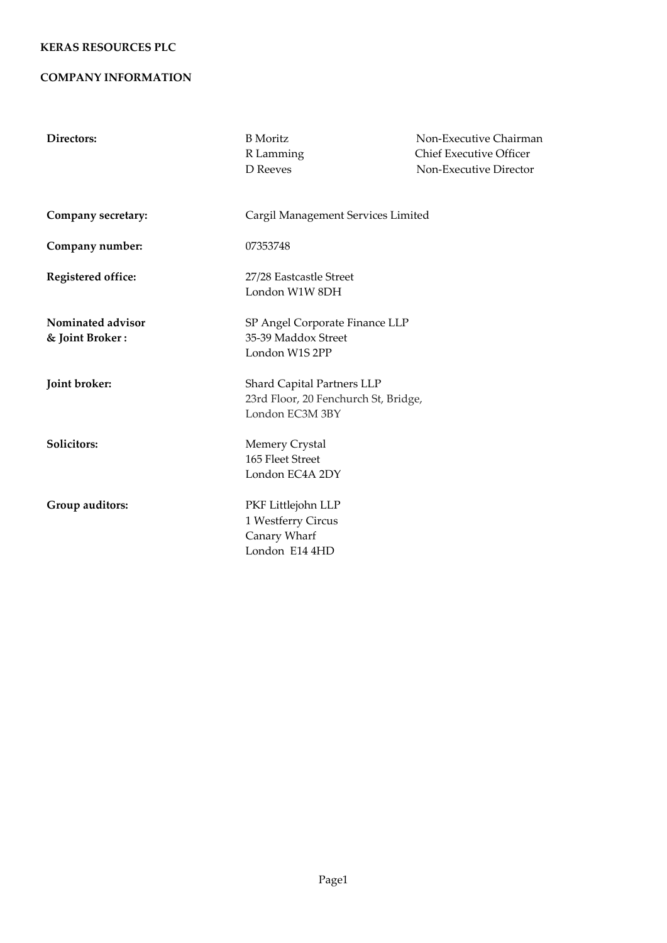### **COMPANY INFORMATION**

| Directors:                           | <b>B</b> Moritz                                                                       | Non-Executive Chairman         |  |  |  |  |
|--------------------------------------|---------------------------------------------------------------------------------------|--------------------------------|--|--|--|--|
|                                      | R Lamming                                                                             | <b>Chief Executive Officer</b> |  |  |  |  |
|                                      | D Reeves                                                                              | Non-Executive Director         |  |  |  |  |
| Company secretary:                   | Cargil Management Services Limited                                                    |                                |  |  |  |  |
| Company number:                      | 07353748                                                                              |                                |  |  |  |  |
| Registered office:                   | 27/28 Eastcastle Street<br>London W1W 8DH                                             |                                |  |  |  |  |
| Nominated advisor<br>& Joint Broker: | SP Angel Corporate Finance LLP<br>35-39 Maddox Street<br>London W1S 2PP               |                                |  |  |  |  |
| Joint broker:                        | Shard Capital Partners LLP<br>23rd Floor, 20 Fenchurch St, Bridge,<br>London EC3M 3BY |                                |  |  |  |  |
| Solicitors:                          | <b>Memery Crystal</b><br>165 Fleet Street<br>London EC4A 2DY                          |                                |  |  |  |  |
| Group auditors:                      | PKF Littlejohn LLP<br>1 Westferry Circus<br>Canary Wharf<br>London E14 4HD            |                                |  |  |  |  |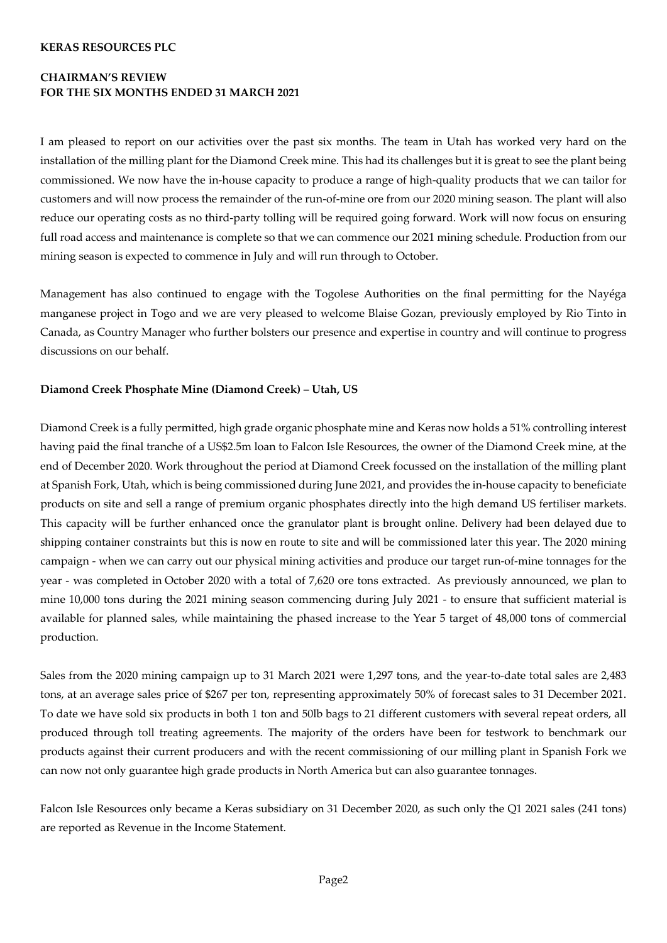# **CHAIRMAN'S REVIEW FOR THE SIX MONTHS ENDED 31 MARCH 2021**

I am pleased to report on our activities over the past six months. The team in Utah has worked very hard on the installation of the milling plant for the Diamond Creek mine. This had its challenges but it is great to see the plant being commissioned. We now have the in-house capacity to produce a range of high-quality products that we can tailor for customers and will now process the remainder of the run-of-mine ore from our 2020 mining season. The plant will also reduce our operating costs as no third-party tolling will be required going forward. Work will now focus on ensuring full road access and maintenance is complete so that we can commence our 2021 mining schedule. Production from our mining season is expected to commence in July and will run through to October.

Management has also continued to engage with the Togolese Authorities on the final permitting for the Nayéga manganese project in Togo and we are very pleased to welcome Blaise Gozan, previously employed by Rio Tinto in Canada, as Country Manager who further bolsters our presence and expertise in country and will continue to progress discussions on our behalf.

#### **Diamond Creek Phosphate Mine (Diamond Creek) – Utah, US**

Diamond Creek is a fully permitted, high grade organic phosphate mine and Keras now holds a 51% controlling interest having paid the final tranche of a US\$2.5m loan to Falcon Isle Resources, the owner of the Diamond Creek mine, at the end of December 2020. Work throughout the period at Diamond Creek focussed on the installation of the milling plant at Spanish Fork, Utah, which is being commissioned during June 2021, and provides the in-house capacity to beneficiate products on site and sell a range of premium organic phosphates directly into the high demand US fertiliser markets. This capacity will be further enhanced once the granulator plant is brought online. Delivery had been delayed due to shipping container constraints but this is now en route to site and will be commissioned later this year. The 2020 mining campaign - when we can carry out our physical mining activities and produce our target run-of-mine tonnages for the year - was completed in October 2020 with a total of 7,620 ore tons extracted. As previously announced, we plan to mine 10,000 tons during the 2021 mining season commencing during July 2021 - to ensure that sufficient material is available for planned sales, while maintaining the phased increase to the Year 5 target of 48,000 tons of commercial production.

Sales from the 2020 mining campaign up to 31 March 2021 were 1,297 tons, and the year-to-date total sales are 2,483 tons, at an average sales price of \$267 per ton, representing approximately 50% of forecast sales to 31 December 2021. To date we have sold six products in both 1 ton and 50lb bags to 21 different customers with several repeat orders, all produced through toll treating agreements. The majority of the orders have been for testwork to benchmark our products against their current producers and with the recent commissioning of our milling plant in Spanish Fork we can now not only guarantee high grade products in North America but can also guarantee tonnages.

Falcon Isle Resources only became a Keras subsidiary on 31 December 2020, as such only the Q1 2021 sales (241 tons) are reported as Revenue in the Income Statement.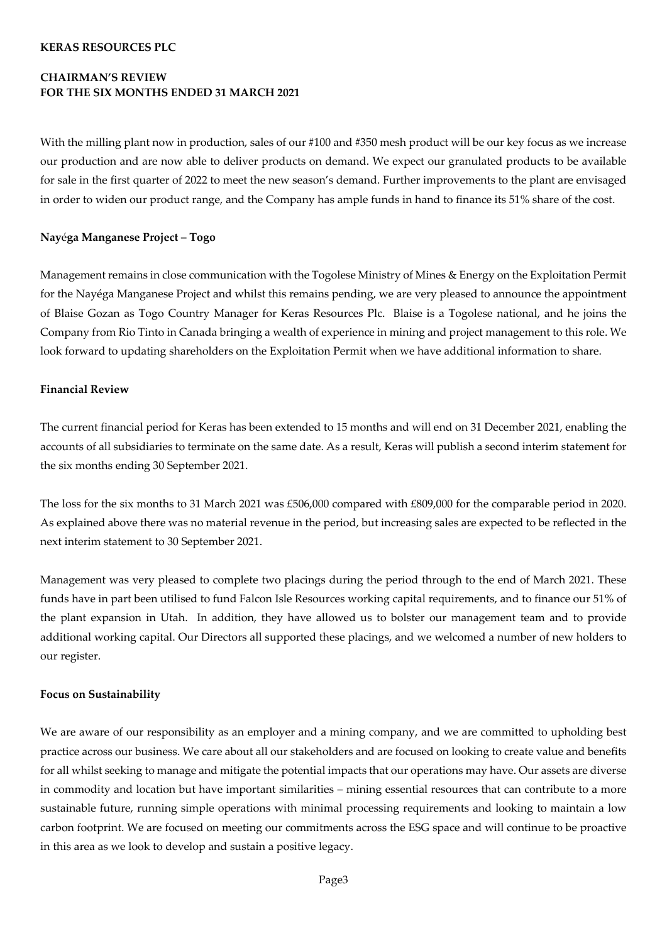# **CHAIRMAN'S REVIEW FOR THE SIX MONTHS ENDED 31 MARCH 2021**

With the milling plant now in production, sales of our #100 and #350 mesh product will be our key focus as we increase our production and are now able to deliver products on demand. We expect our granulated products to be available for sale in the first quarter of 2022 to meet the new season's demand. Further improvements to the plant are envisaged in order to widen our product range, and the Company has ample funds in hand to finance its 51% share of the cost.

#### **Nay**é**ga Manganese Project – Togo**

Management remains in close communication with the Togolese Ministry of Mines & Energy on the Exploitation Permit for the Nayéga Manganese Project and whilst this remains pending, we are very pleased to announce the appointment of Blaise Gozan as Togo Country Manager for Keras Resources Plc. Blaise is a Togolese national, and he joins the Company from Rio Tinto in Canada bringing a wealth of experience in mining and project management to this role. We look forward to updating shareholders on the Exploitation Permit when we have additional information to share.

#### **Financial Review**

The current financial period for Keras has been extended to 15 months and will end on 31 December 2021, enabling the accounts of all subsidiaries to terminate on the same date. As a result, Keras will publish a second interim statement for the six months ending 30 September 2021.

The loss for the six months to 31 March 2021 was £506,000 compared with £809,000 for the comparable period in 2020. As explained above there was no material revenue in the period, but increasing sales are expected to be reflected in the next interim statement to 30 September 2021.

Management was very pleased to complete two placings during the period through to the end of March 2021. These funds have in part been utilised to fund Falcon Isle Resources working capital requirements, and to finance our 51% of the plant expansion in Utah. In addition, they have allowed us to bolster our management team and to provide additional working capital. Our Directors all supported these placings, and we welcomed a number of new holders to our register.

#### **Focus on Sustainability**

We are aware of our responsibility as an employer and a mining company, and we are committed to upholding best practice across our business. We care about all our stakeholders and are focused on looking to create value and benefits for all whilst seeking to manage and mitigate the potential impacts that our operations may have. Our assets are diverse in commodity and location but have important similarities – mining essential resources that can contribute to a more sustainable future, running simple operations with minimal processing requirements and looking to maintain a low carbon footprint. We are focused on meeting our commitments across the ESG space and will continue to be proactive in this area as we look to develop and sustain a positive legacy.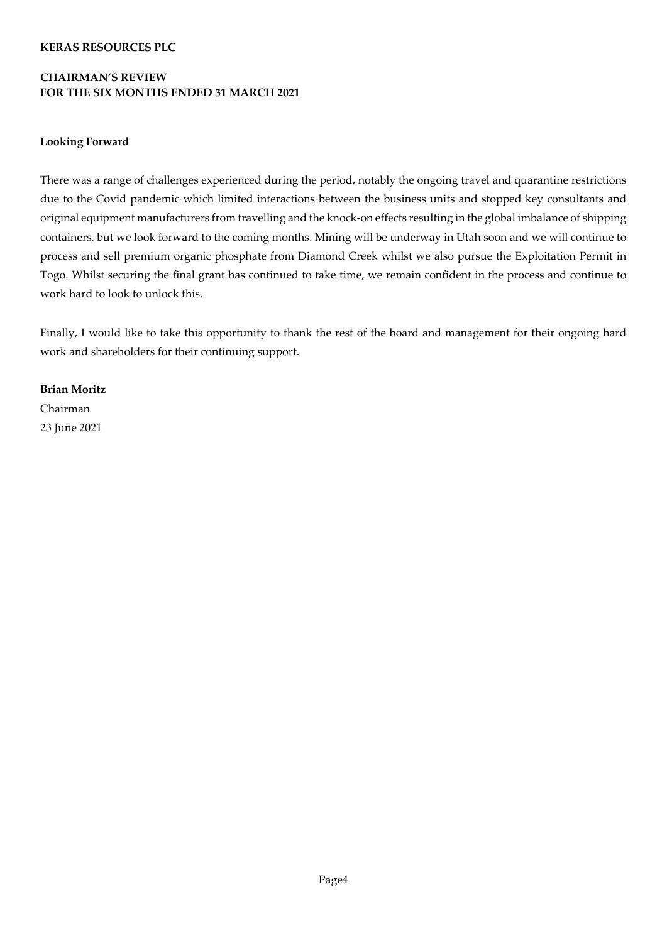# **CHAIRMAN'S REVIEW FOR THE SIX MONTHS ENDED 31 MARCH 2021**

#### **Looking Forward**

There was a range of challenges experienced during the period, notably the ongoing travel and quarantine restrictions due to the Covid pandemic which limited interactions between the business units and stopped key consultants and original equipment manufacturers from travelling and the knock-on effects resulting in the global imbalance of shipping containers, but we look forward to the coming months. Mining will be underway in Utah soon and we will continue to process and sell premium organic phosphate from Diamond Creek whilst we also pursue the Exploitation Permit in Togo. Whilst securing the final grant has continued to take time, we remain confident in the process and continue to work hard to look to unlock this.

Finally, I would like to take this opportunity to thank the rest of the board and management for their ongoing hard work and shareholders for their continuing support.

**Brian Moritz** Chairman 23 June 2021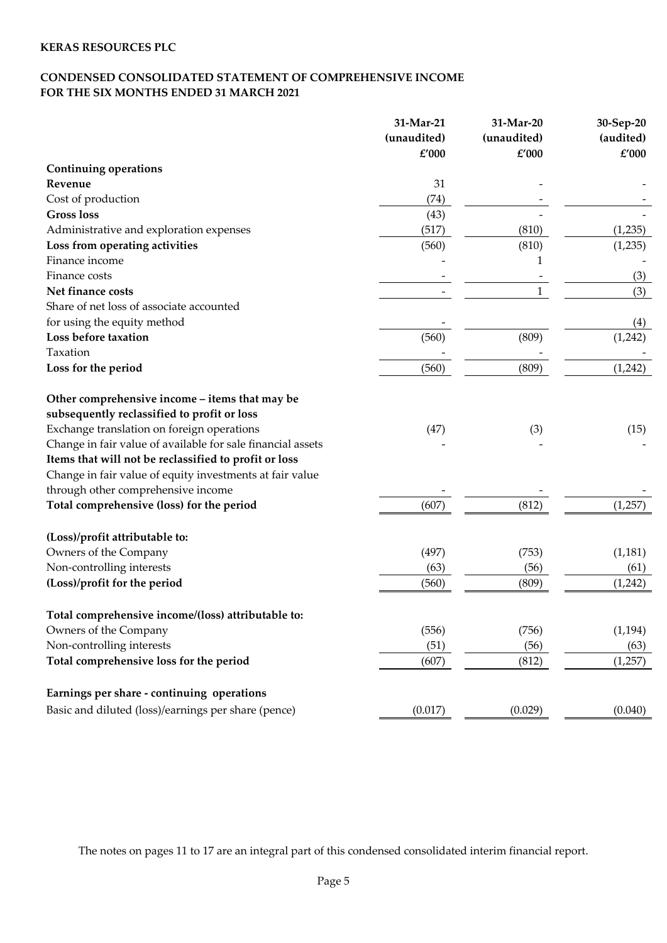# **CONDENSED CONSOLIDATED STATEMENT OF COMPREHENSIVE INCOME FOR THE SIX MONTHS ENDED 31 MARCH 2021**

|                                                             | 31-Mar-21   | 31-Mar-20   | 30-Sep-20 |
|-------------------------------------------------------------|-------------|-------------|-----------|
|                                                             | (unaudited) | (unaudited) | (audited) |
|                                                             | £'000       | £'000       | £'000     |
| <b>Continuing operations</b>                                |             |             |           |
| Revenue                                                     | 31          |             |           |
| Cost of production                                          | (74)        |             |           |
| <b>Gross loss</b>                                           | (43)        |             |           |
| Administrative and exploration expenses                     | (517)       | (810)       | (1,235)   |
| Loss from operating activities                              | (560)       | (810)       | (1,235)   |
| Finance income                                              |             | 1           |           |
| Finance costs                                               |             |             | (3)       |
| Net finance costs                                           |             | 1           | (3)       |
| Share of net loss of associate accounted                    |             |             |           |
| for using the equity method                                 |             |             | (4)       |
| Loss before taxation                                        | (560)       | (809)       | (1,242)   |
| Taxation                                                    |             |             |           |
| Loss for the period                                         | (560)       | (809)       | (1,242)   |
| Other comprehensive income – items that may be              |             |             |           |
| subsequently reclassified to profit or loss                 |             |             |           |
| Exchange translation on foreign operations                  | (47)        | (3)         | (15)      |
| Change in fair value of available for sale financial assets |             |             |           |
| Items that will not be reclassified to profit or loss       |             |             |           |
| Change in fair value of equity investments at fair value    |             |             |           |
| through other comprehensive income                          |             |             |           |
| Total comprehensive (loss) for the period                   | (607)       | (812)       | (1,257)   |
| (Loss)/profit attributable to:                              |             |             |           |
| Owners of the Company                                       | (497)       | (753)       | (1, 181)  |
| Non-controlling interests                                   | (63)        | (56)        | (61)      |
| (Loss)/profit for the period                                | (560)       | (809)       | (1,242)   |
| Total comprehensive income/(loss) attributable to:          |             |             |           |
| Owners of the Company                                       | (556)       | (756)       | (1, 194)  |
| Non-controlling interests                                   | (51)        | (56)        | (63)      |
| Total comprehensive loss for the period                     | (607)       | (812)       | (1,257)   |
| Earnings per share - continuing operations                  |             |             |           |
| Basic and diluted (loss)/earnings per share (pence)         | (0.017)     | (0.029)     | (0.040)   |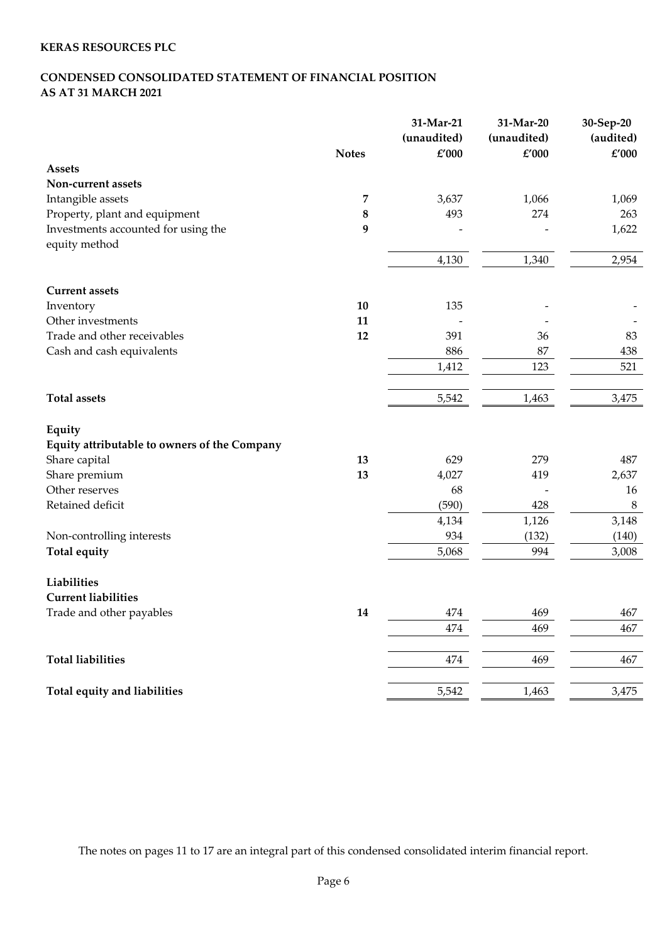# **CONDENSED CONSOLIDATED STATEMENT OF FINANCIAL POSITION AS AT 31 MARCH 2021**

|                                              | <b>Notes</b> | 31-Mar-21<br>(unaudited)<br>£'000 | 31-Mar-20<br>(unaudited)<br>£'000 | 30-Sep-20<br>(audited)<br>£'000 |
|----------------------------------------------|--------------|-----------------------------------|-----------------------------------|---------------------------------|
| <b>Assets</b>                                |              |                                   |                                   |                                 |
| Non-current assets                           |              |                                   |                                   |                                 |
| Intangible assets                            | 7            | 3,637                             | 1,066                             | 1,069                           |
| Property, plant and equipment                | 8            | 493                               | 274                               | 263                             |
| Investments accounted for using the          | 9            |                                   |                                   | 1,622                           |
| equity method                                |              | 4,130                             | 1,340                             | 2,954                           |
| <b>Current assets</b>                        |              |                                   |                                   |                                 |
| Inventory                                    | 10           | 135                               |                                   |                                 |
| Other investments                            | 11           |                                   |                                   |                                 |
| Trade and other receivables                  | 12           | 391                               | 36                                | 83                              |
| Cash and cash equivalents                    |              | 886                               | 87                                | 438                             |
|                                              |              | 1,412                             | 123                               | 521                             |
| <b>Total assets</b>                          |              | 5,542                             | 1,463                             | 3,475                           |
| Equity                                       |              |                                   |                                   |                                 |
| Equity attributable to owners of the Company |              |                                   |                                   |                                 |
| Share capital                                | 13           | 629                               | 279                               | 487                             |
| Share premium                                | 13           | 4,027                             | 419                               | 2,637                           |
| Other reserves                               |              | 68                                |                                   | 16                              |
| Retained deficit                             |              | (590)                             | 428                               | $\,8\,$                         |
|                                              |              | 4,134                             | 1,126                             | 3,148                           |
| Non-controlling interests                    |              | 934                               | (132)                             | (140)                           |
| <b>Total equity</b>                          |              | 5,068                             | 994                               | 3,008                           |
| Liabilities                                  |              |                                   |                                   |                                 |
| <b>Current liabilities</b>                   |              |                                   |                                   |                                 |
| Trade and other payables                     | 14           | 474                               | 469                               | 467                             |
|                                              |              | 474                               | 469                               | 467                             |
| <b>Total liabilities</b>                     |              | 474                               | 469                               | 467                             |
| Total equity and liabilities                 |              | 5,542                             | 1,463                             | 3,475                           |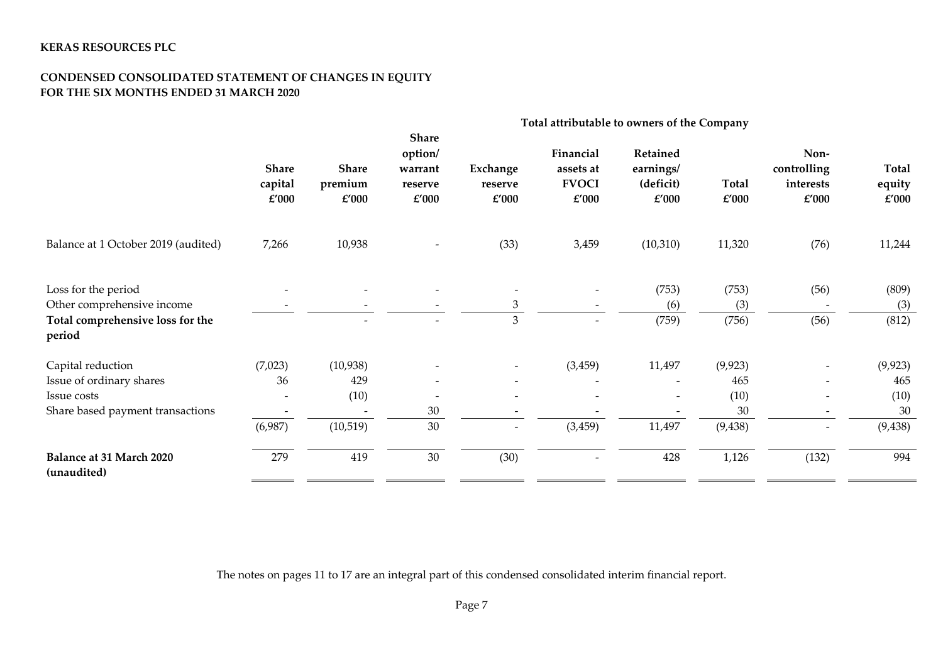### **CONDENSED CONSOLIDATED STATEMENT OF CHANGES IN EQUITY FOR THE SIX MONTHS ENDED 31 MARCH 2020**

|                                                                          | Total attributable to owners of the Company |                           |                                                        |                              |                                                 |                                             |                |                                           |                                 |
|--------------------------------------------------------------------------|---------------------------------------------|---------------------------|--------------------------------------------------------|------------------------------|-------------------------------------------------|---------------------------------------------|----------------|-------------------------------------------|---------------------------------|
|                                                                          | <b>Share</b><br>capital<br>£'000            | Share<br>premium<br>£'000 | <b>Share</b><br>option/<br>warrant<br>reserve<br>£'000 | Exchange<br>reserve<br>£'000 | Financial<br>assets at<br><b>FVOCI</b><br>£'000 | Retained<br>earnings/<br>(deficit)<br>£'000 | Total<br>£'000 | Non-<br>controlling<br>interests<br>£'000 | <b>Total</b><br>equity<br>£'000 |
| Balance at 1 October 2019 (audited)                                      | 7,266                                       | 10,938                    |                                                        | (33)                         | 3,459                                           | (10, 310)                                   | 11,320         | (76)                                      | 11,244                          |
| Loss for the period                                                      |                                             |                           |                                                        |                              |                                                 | (753)                                       | (753)          | (56)                                      | (809)                           |
| Other comprehensive income<br>Total comprehensive loss for the<br>period |                                             |                           |                                                        | 3<br>3                       | $\overline{\phantom{a}}$                        | (6)<br>(759)                                | (3)<br>(756)   | (56)                                      | (3)<br>(812)                    |
| Capital reduction                                                        | (7,023)                                     | (10, 938)                 |                                                        |                              | (3, 459)                                        | 11,497                                      | (9, 923)       |                                           | (9, 923)                        |
| Issue of ordinary shares                                                 | 36                                          | 429                       | $\overline{\phantom{0}}$                               | $\overline{\phantom{a}}$     |                                                 |                                             | 465            |                                           | 465                             |
| Issue costs                                                              |                                             | (10)                      |                                                        | $\overline{\phantom{a}}$     |                                                 |                                             | (10)           | $\overline{\phantom{a}}$                  | (10)                            |
| Share based payment transactions                                         |                                             |                           | 30                                                     |                              |                                                 |                                             | 30             |                                           | 30                              |
|                                                                          | (6,987)                                     | (10, 519)                 | 30                                                     | $\overline{\phantom{a}}$     | (3, 459)                                        | 11,497                                      | (9, 438)       | $\overline{\phantom{a}}$                  | (9, 438)                        |
| <b>Balance at 31 March 2020</b><br>(unaudited)                           | 279                                         | 419                       | 30                                                     | (30)                         | $\overline{\phantom{a}}$                        | 428                                         | 1,126          | (132)                                     | 994                             |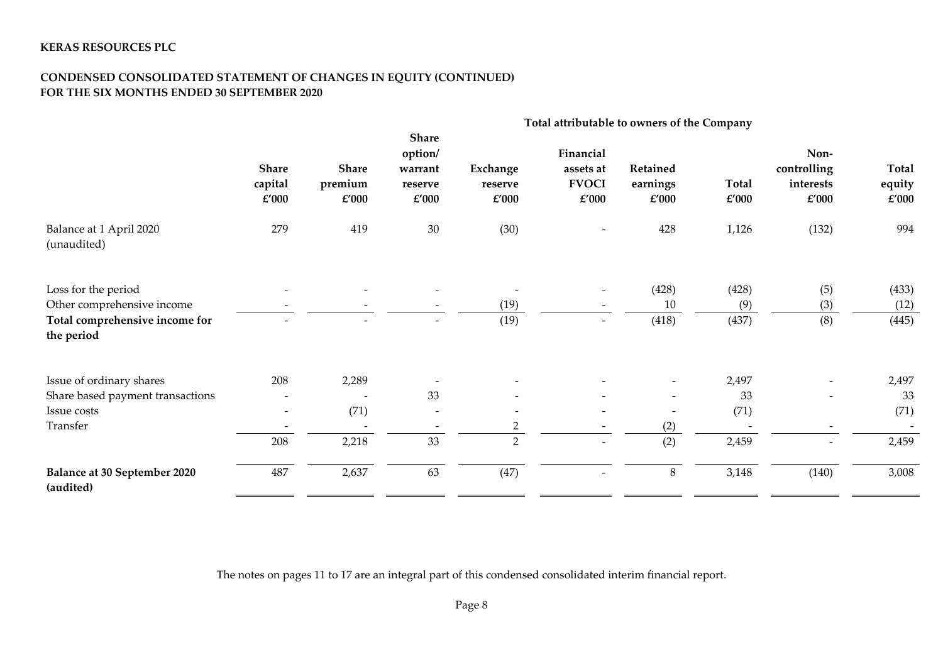## **CONDENSED CONSOLIDATED STATEMENT OF CHANGES IN EQUITY (CONTINUED) FOR THE SIX MONTHS ENDED 30 SEPTEMBER 2020**

|                                                                                                   | Total attributable to owners of the Company |                                          |                                                        |                                  |                                                 |                               |                              |                                           |                                  |
|---------------------------------------------------------------------------------------------------|---------------------------------------------|------------------------------------------|--------------------------------------------------------|----------------------------------|-------------------------------------------------|-------------------------------|------------------------------|-------------------------------------------|----------------------------------|
|                                                                                                   | <b>Share</b><br>capital<br>$\pounds'000$    | <b>Share</b><br>premium<br>$\pounds'000$ | <b>Share</b><br>option/<br>warrant<br>reserve<br>£'000 | Exchange<br>reserve<br>£'000     | Financial<br>assets at<br><b>FVOCI</b><br>£'000 | Retained<br>earnings<br>£'000 | Total<br>$\pounds'000$       | Non-<br>controlling<br>interests<br>£'000 | Total<br>equity<br>$\pounds'000$ |
| Balance at 1 April 2020<br>(unaudited)                                                            | 279                                         | 419                                      | $30\,$                                                 | (30)                             |                                                 | 428                           | 1,126                        | (132)                                     | 994                              |
| Loss for the period<br>Other comprehensive income<br>Total comprehensive income for<br>the period |                                             |                                          |                                                        | (19)<br>(19)                     | $\overline{\phantom{a}}$                        | (428)<br>10<br>(418)          | (428)<br>(9)<br>(437)        | (5)<br>(3)<br>(8)                         | (433)<br>(12)<br>(445)           |
| Issue of ordinary shares<br>Share based payment transactions<br>Issue costs<br>Transfer           | 208<br>$\overline{\phantom{a}}$<br>208      | 2,289<br>(71)<br>2,218                   | 33<br>$\overline{\phantom{a}}$<br>33                   | $\overline{2}$<br>$\overline{2}$ |                                                 | (2)<br>(2)                    | 2,497<br>33<br>(71)<br>2,459 |                                           | 2,497<br>33<br>(71)<br>2,459     |
| Balance at 30 September 2020<br>(audited)                                                         | 487                                         | 2,637                                    | 63                                                     | (47)                             |                                                 | $8\,$                         | 3,148                        | (140)                                     | 3,008                            |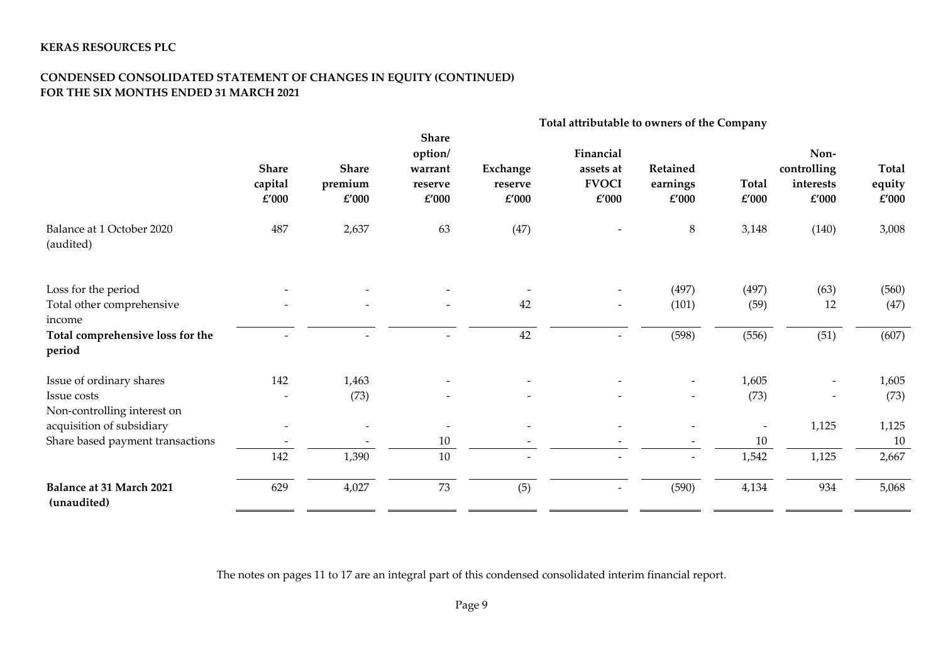# **CONDENSED CONSOLIDATED STATEMENT OF CHANGES IN EQUITY (CONTINUED) FOR THE SIX MONTHS ENDED 31 MARCH 2021**

|                                                | Total attributable to owners of the Company |                                          |                                                                |                              |                                                 |                                       |                |                                                   |                                 |
|------------------------------------------------|---------------------------------------------|------------------------------------------|----------------------------------------------------------------|------------------------------|-------------------------------------------------|---------------------------------------|----------------|---------------------------------------------------|---------------------------------|
|                                                | <b>Share</b><br>capital<br>£'000            | <b>Share</b><br>premium<br>$\pounds'000$ | <b>Share</b><br>option/<br>warrant<br>reserve<br>$\pounds'000$ | Exchange<br>reserve<br>£'000 | Financial<br>assets at<br><b>FVOCI</b><br>£'000 | Retained<br>earnings<br>$\pounds'000$ | Total<br>£'000 | Non-<br>controlling<br>interests<br>$\pounds'000$ | <b>Total</b><br>equity<br>£'000 |
| Balance at 1 October 2020<br>(audited)         | 487                                         | 2,637                                    | 63                                                             | (47)                         |                                                 | 8                                     | 3,148          | (140)                                             | 3,008                           |
| Loss for the period                            |                                             |                                          |                                                                |                              |                                                 | (497)                                 | (497)          | (63)                                              | (560)                           |
| Total other comprehensive<br>income            |                                             |                                          |                                                                | 42                           | $\overline{\phantom{a}}$                        | (101)                                 | (59)           | 12                                                | (47)                            |
| Total comprehensive loss for the<br>period     |                                             |                                          |                                                                | 42                           |                                                 | (598)                                 | (556)          | (51)                                              | (607)                           |
| Issue of ordinary shares                       | 142                                         | 1,463                                    |                                                                |                              |                                                 | $\overline{\phantom{a}}$              | 1,605          |                                                   | 1,605                           |
| Issue costs<br>Non-controlling interest on     |                                             | (73)                                     |                                                                |                              |                                                 |                                       | (73)           |                                                   | (73)                            |
| acquisition of subsidiary                      |                                             |                                          |                                                                |                              |                                                 |                                       |                | 1,125                                             | 1,125                           |
| Share based payment transactions               |                                             |                                          | 10                                                             |                              |                                                 |                                       | 10             |                                                   | 10                              |
|                                                | 142                                         | 1,390                                    | 10                                                             |                              |                                                 |                                       | 1,542          | 1,125                                             | 2,667                           |
| <b>Balance at 31 March 2021</b><br>(unaudited) | 629                                         | 4,027                                    | 73                                                             | (5)                          | $\overline{\phantom{0}}$                        | (590)                                 | 4,134          | 934                                               | 5,068                           |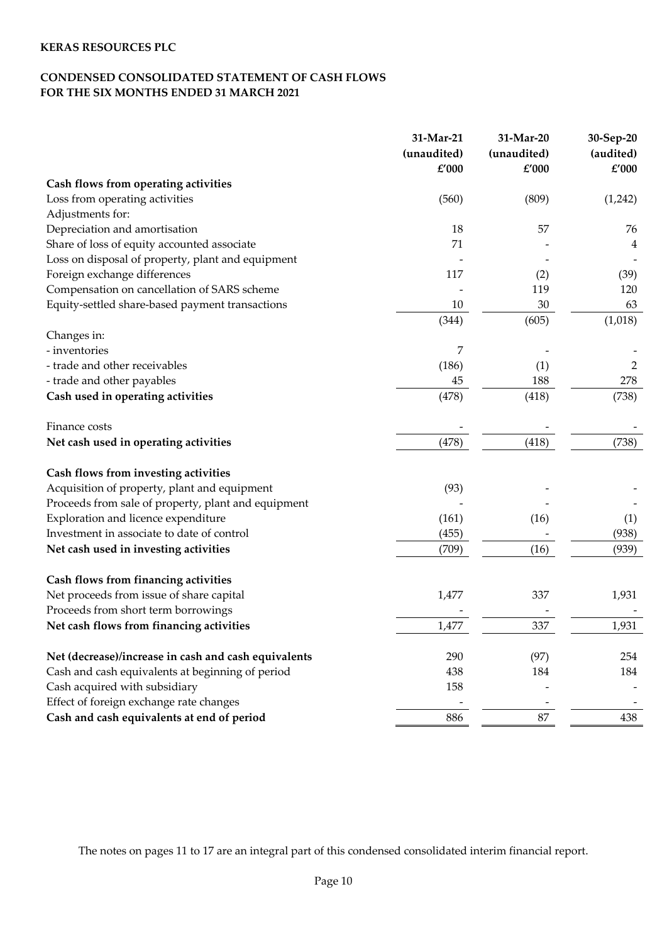# **CONDENSED CONSOLIDATED STATEMENT OF CASH FLOWS FOR THE SIX MONTHS ENDED 31 MARCH 2021**

|                                                      | 31-Mar-21   | 31-Mar-20   | 30-Sep-20      |
|------------------------------------------------------|-------------|-------------|----------------|
|                                                      | (unaudited) | (unaudited) | (audited)      |
|                                                      | £'000       | £'000       | $\pounds'000$  |
| Cash flows from operating activities                 |             |             |                |
| Loss from operating activities                       | (560)       | (809)       | (1,242)        |
| Adjustments for:                                     |             |             |                |
| Depreciation and amortisation                        | 18          | 57          | 76             |
| Share of loss of equity accounted associate          | 71          |             | 4              |
| Loss on disposal of property, plant and equipment    |             |             |                |
| Foreign exchange differences                         | 117         | (2)         | (39)           |
| Compensation on cancellation of SARS scheme          |             | 119         | 120            |
| Equity-settled share-based payment transactions      | 10          | 30          | 63             |
|                                                      | (344)       | (605)       | (1,018)        |
| Changes in:                                          |             |             |                |
| - inventories                                        | 7           |             |                |
| - trade and other receivables                        | (186)       | (1)         | $\overline{2}$ |
| - trade and other payables                           | 45          | 188         | 278            |
| Cash used in operating activities                    | (478)       | (418)       | (738)          |
| Finance costs                                        |             |             |                |
| Net cash used in operating activities                | (478)       | (418)       | (738)          |
| Cash flows from investing activities                 |             |             |                |
| Acquisition of property, plant and equipment         | (93)        |             |                |
| Proceeds from sale of property, plant and equipment  |             |             |                |
| Exploration and licence expenditure                  | (161)       | (16)        | (1)            |
| Investment in associate to date of control           | (455)       |             | (938)          |
| Net cash used in investing activities                | (709)       | (16)        | (939)          |
| Cash flows from financing activities                 |             |             |                |
| Net proceeds from issue of share capital             | 1,477       | 337         | 1,931          |
| Proceeds from short term borrowings                  |             |             |                |
| Net cash flows from financing activities             | 1,477       | 337         | 1,931          |
| Net (decrease)/increase in cash and cash equivalents | 290         | (97)        | 254            |
| Cash and cash equivalents at beginning of period     | 438         | 184         | 184            |
| Cash acquired with subsidiary                        | 158         |             |                |
| Effect of foreign exchange rate changes              |             |             |                |
| Cash and cash equivalents at end of period           | 886         | 87          | 438            |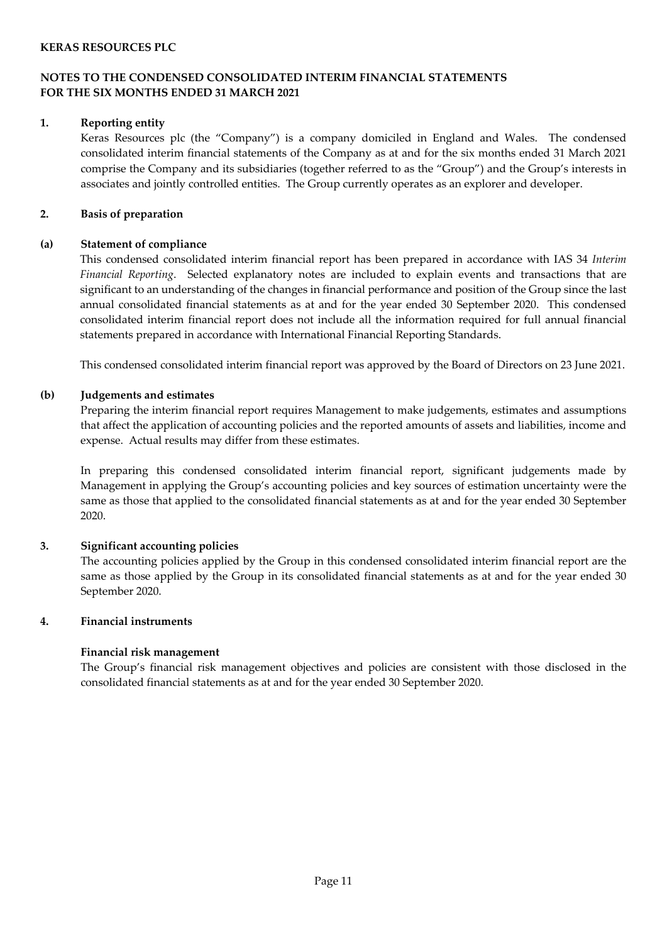### **NOTES TO THE CONDENSED CONSOLIDATED INTERIM FINANCIAL STATEMENTS FOR THE SIX MONTHS ENDED 31 MARCH 2021**

#### **1. Reporting entity**

Keras Resources plc (the "Company") is a company domiciled in England and Wales. The condensed consolidated interim financial statements of the Company as at and for the six months ended 31 March 2021 comprise the Company and its subsidiaries (together referred to as the "Group") and the Group's interests in associates and jointly controlled entities. The Group currently operates as an explorer and developer.

#### **2. Basis of preparation**

### **(a) Statement of compliance**

This condensed consolidated interim financial report has been prepared in accordance with IAS 34 *Interim Financial Reporting*. Selected explanatory notes are included to explain events and transactions that are significant to an understanding of the changes in financial performance and position of the Group since the last annual consolidated financial statements as at and for the year ended 30 September 2020. This condensed consolidated interim financial report does not include all the information required for full annual financial statements prepared in accordance with International Financial Reporting Standards.

This condensed consolidated interim financial report was approved by the Board of Directors on 23 June 2021.

### **(b) Judgements and estimates**

Preparing the interim financial report requires Management to make judgements, estimates and assumptions that affect the application of accounting policies and the reported amounts of assets and liabilities, income and expense. Actual results may differ from these estimates.

In preparing this condensed consolidated interim financial report, significant judgements made by Management in applying the Group's accounting policies and key sources of estimation uncertainty were the same as those that applied to the consolidated financial statements as at and for the year ended 30 September 2020.

# **3. Significant accounting policies**

The accounting policies applied by the Group in this condensed consolidated interim financial report are the same as those applied by the Group in its consolidated financial statements as at and for the year ended 30 September 2020.

#### **4. Financial instruments**

#### **Financial risk management**

The Group's financial risk management objectives and policies are consistent with those disclosed in the consolidated financial statements as at and for the year ended 30 September 2020.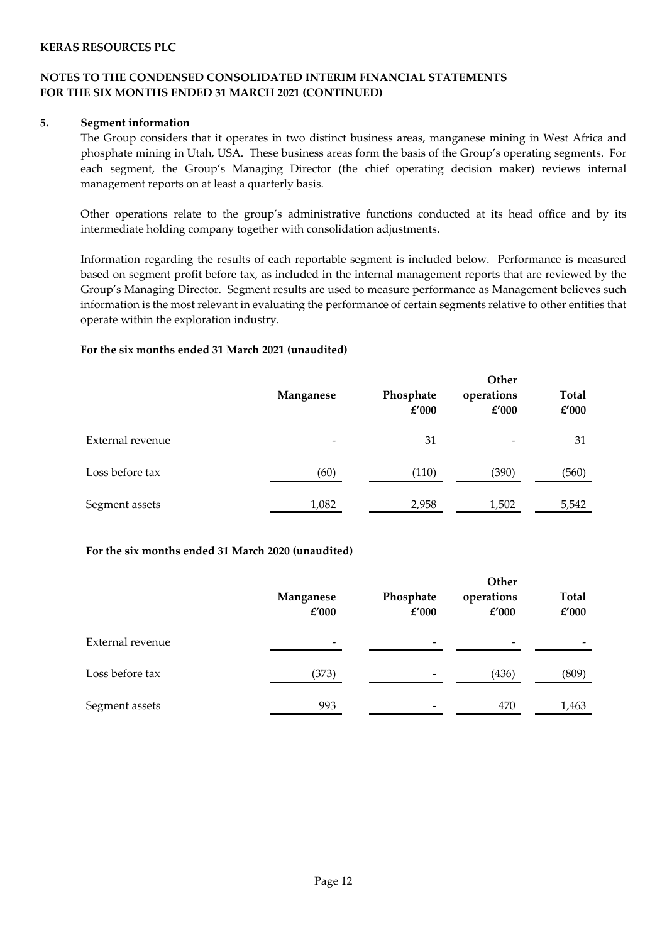### **NOTES TO THE CONDENSED CONSOLIDATED INTERIM FINANCIAL STATEMENTS FOR THE SIX MONTHS ENDED 31 MARCH 2021 (CONTINUED)**

#### **5. Segment information**

The Group considers that it operates in two distinct business areas, manganese mining in West Africa and phosphate mining in Utah, USA. These business areas form the basis of the Group's operating segments. For each segment, the Group's Managing Director (the chief operating decision maker) reviews internal management reports on at least a quarterly basis.

Other operations relate to the group's administrative functions conducted at its head office and by its intermediate holding company together with consolidation adjustments.

Information regarding the results of each reportable segment is included below. Performance is measured based on segment profit before tax, as included in the internal management reports that are reviewed by the Group's Managing Director. Segment results are used to measure performance as Management believes such information is the most relevant in evaluating the performance of certain segments relative to other entities that operate within the exploration industry.

### **For the six months ended 31 March 2021 (unaudited)**

|                  | Manganese | Phosphate<br>£'000 | Other<br>operations<br>£'000 | <b>Total</b><br>£'000 |
|------------------|-----------|--------------------|------------------------------|-----------------------|
| External revenue |           | 31                 |                              | 31                    |
| Loss before tax  | (60)      | (110)              | (390)                        | (560)                 |
| Segment assets   | 1,082     | 2,958              | 1,502                        | 5,542                 |

#### **For the six months ended 31 March 2020 (unaudited)**

|                  | Manganese<br>£'000       | Phosphate<br>£'000       | Other<br>operations<br>£'000 | <b>Total</b><br>£'000 |
|------------------|--------------------------|--------------------------|------------------------------|-----------------------|
| External revenue | $\overline{\phantom{a}}$ | $\overline{\phantom{0}}$ |                              |                       |
| Loss before tax  | (373)                    | -                        | (436)                        | (809)                 |
| Segment assets   | 993                      | -                        | 470                          | 1,463                 |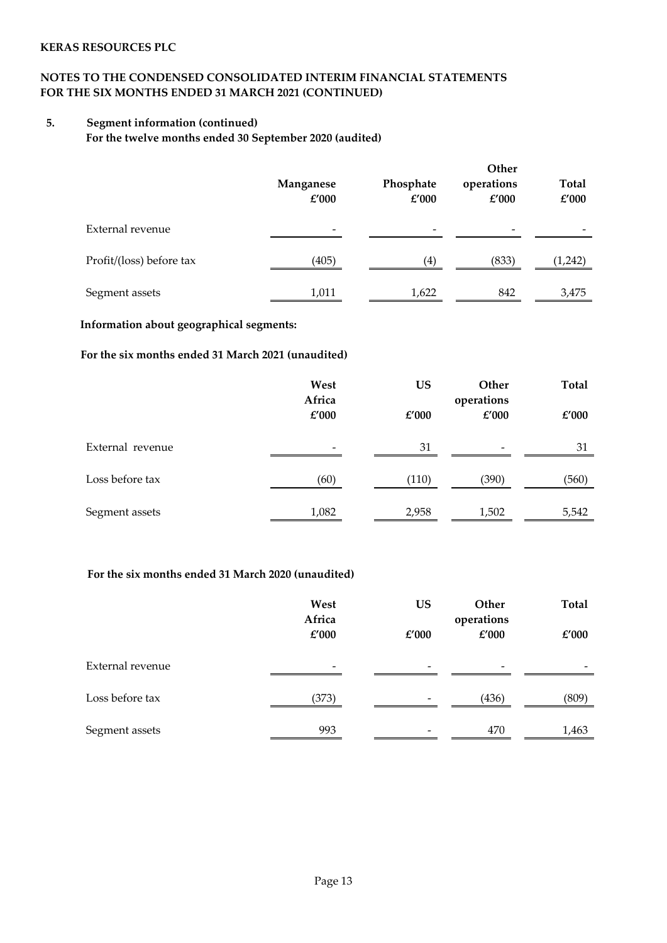# **NOTES TO THE CONDENSED CONSOLIDATED INTERIM FINANCIAL STATEMENTS FOR THE SIX MONTHS ENDED 31 MARCH 2021 (CONTINUED)**

# **5. Segment information (continued)**

**For the twelve months ended 30 September 2020 (audited)**

|                          | Manganese<br>£'000       | Phosphate<br>£'000 | Other<br>operations<br>£'000 | <b>Total</b><br>£'000 |
|--------------------------|--------------------------|--------------------|------------------------------|-----------------------|
| External revenue         | $\overline{\phantom{0}}$ | -                  |                              |                       |
| Profit/(loss) before tax | (405)                    | (4)                | (833)                        | (1,242)               |
| Segment assets           | 1,011                    | 1,622              | 842                          | 3,475                 |

### **Information about geographical segments:**

# **For the six months ended 31 March 2021 (unaudited)**

|                  | West<br>Africa<br>£'000 | <b>US</b><br>£'000 | Other<br>operations<br>£'000 | <b>Total</b><br>£'000 |
|------------------|-------------------------|--------------------|------------------------------|-----------------------|
| External revenue |                         | 31                 | $\overline{\phantom{a}}$     | 31                    |
| Loss before tax  | (60)                    | (110)              | (390)                        | (560)                 |
| Segment assets   | 1,082                   | 2,958              | 1,502                        | 5,542                 |

### **For the six months ended 31 March 2020 (unaudited)**

|                  | West<br>Africa<br>£'000 | <b>US</b><br>£'000       | Other<br>operations<br>£'000 | <b>Total</b><br>£'000 |
|------------------|-------------------------|--------------------------|------------------------------|-----------------------|
| External revenue | $\qquad \qquad -$       | $\overline{\phantom{a}}$ | $\overline{\phantom{0}}$     |                       |
| Loss before tax  | (373)                   |                          | (436)                        | (809)                 |
| Segment assets   | 993                     |                          | 470                          | 1,463                 |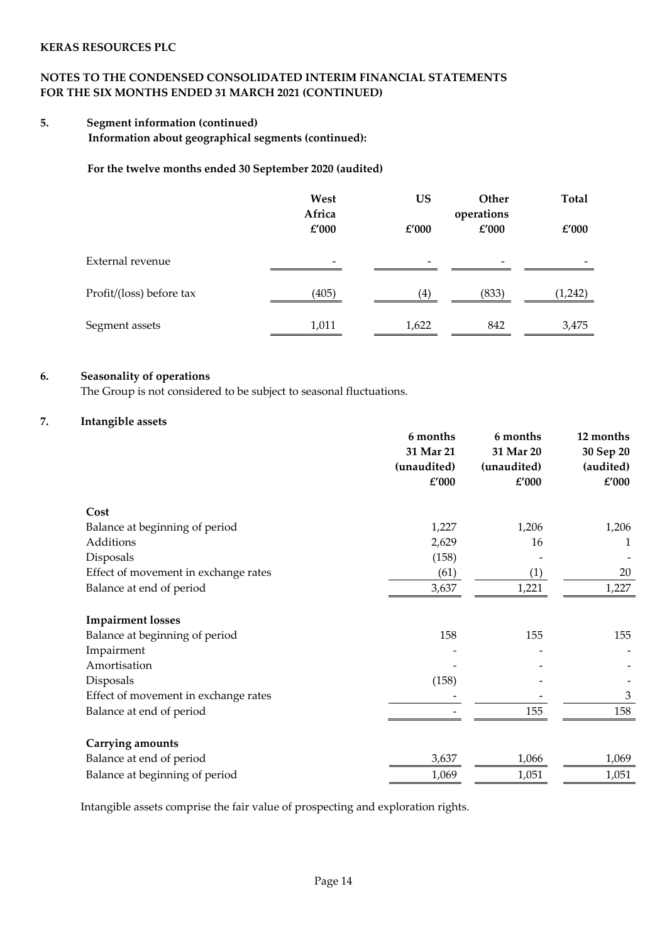# **NOTES TO THE CONDENSED CONSOLIDATED INTERIM FINANCIAL STATEMENTS FOR THE SIX MONTHS ENDED 31 MARCH 2021 (CONTINUED)**

# **5. Segment information (continued)**

**Information about geographical segments (continued):**

**For the twelve months ended 30 September 2020 (audited)**

|                          | West<br>Africa<br>£'000  | <b>US</b><br>£'000       | Other<br>operations<br>£'000 | <b>Total</b><br>£'000 |
|--------------------------|--------------------------|--------------------------|------------------------------|-----------------------|
| External revenue         | $\overline{\phantom{a}}$ | $\overline{\phantom{0}}$ | $\overline{\phantom{0}}$     |                       |
| Profit/(loss) before tax | (405)                    | (4)                      | (833)                        | (1,242)               |
| Segment assets           | 1,011                    | 1,622                    | 842                          | 3,475                 |

### **6. Seasonality of operations**

The Group is not considered to be subject to seasonal fluctuations.

### **7. Intangible assets**

|                                      | 6 months<br>31 Mar 21<br>(unaudited) | 6 months<br>31 Mar 20<br>(unaudited) | 12 months<br>30 Sep 20<br>(audited) |
|--------------------------------------|--------------------------------------|--------------------------------------|-------------------------------------|
|                                      | £'000                                | £'000                                | £'000                               |
| Cost                                 |                                      |                                      |                                     |
| Balance at beginning of period       | 1,227                                | 1,206                                | 1,206                               |
| Additions                            | 2,629                                | 16                                   | 1                                   |
| Disposals                            | (158)                                |                                      |                                     |
| Effect of movement in exchange rates | (61)                                 | (1)                                  | 20                                  |
| Balance at end of period             | 3,637                                | 1,221                                | 1,227                               |
| <b>Impairment losses</b>             |                                      |                                      |                                     |
| Balance at beginning of period       | 158                                  | 155                                  | 155                                 |
| Impairment                           |                                      |                                      |                                     |
| Amortisation                         |                                      |                                      |                                     |
| Disposals                            | (158)                                |                                      |                                     |
| Effect of movement in exchange rates |                                      |                                      | 3                                   |
| Balance at end of period             |                                      | 155                                  | 158                                 |
| Carrying amounts                     |                                      |                                      |                                     |
| Balance at end of period             | 3,637                                | 1,066                                | 1,069                               |
| Balance at beginning of period       | 1,069                                | 1,051                                | 1,051                               |

Intangible assets comprise the fair value of prospecting and exploration rights.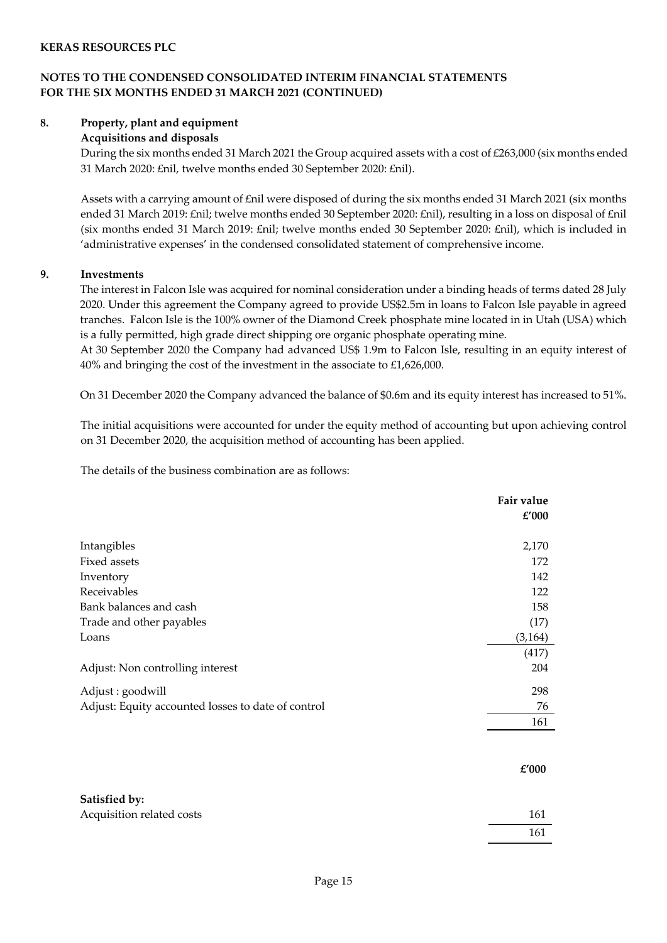## **NOTES TO THE CONDENSED CONSOLIDATED INTERIM FINANCIAL STATEMENTS FOR THE SIX MONTHS ENDED 31 MARCH 2021 (CONTINUED)**

#### **8. Property, plant and equipment**

### **Acquisitions and disposals**

During the six months ended 31 March 2021 the Group acquired assets with a cost of £263,000 (six months ended 31 March 2020: £nil, twelve months ended 30 September 2020: £nil).

Assets with a carrying amount of £nil were disposed of during the six months ended 31 March 2021 (six months ended 31 March 2019: £nil; twelve months ended 30 September 2020: £nil), resulting in a loss on disposal of £nil (six months ended 31 March 2019: £nil; twelve months ended 30 September 2020: £nil), which is included in 'administrative expenses' in the condensed consolidated statement of comprehensive income.

#### **9. Investments**

The interest in Falcon Isle was acquired for nominal consideration under a binding heads of terms dated 28 July 2020. Under this agreement the Company agreed to provide US\$2.5m in loans to Falcon Isle payable in agreed tranches. Falcon Isle is the 100% owner of the Diamond Creek phosphate mine located in in Utah (USA) which is a fully permitted, high grade direct shipping ore organic phosphate operating mine.

At 30 September 2020 the Company had advanced US\$ 1.9m to Falcon Isle, resulting in an equity interest of 40% and bringing the cost of the investment in the associate to £1,626,000.

On 31 December 2020 the Company advanced the balance of \$0.6m and its equity interest has increased to 51%.

The initial acquisitions were accounted for under the equity method of accounting but upon achieving control on 31 December 2020, the acquisition method of accounting has been applied.

The details of the business combination are as follows:

|                                                    | Fair value<br>£'000 |
|----------------------------------------------------|---------------------|
| Intangibles                                        | 2,170               |
| Fixed assets                                       | 172                 |
| Inventory                                          | 142                 |
| Receivables                                        | 122                 |
| Bank balances and cash                             | 158                 |
| Trade and other payables                           | (17)                |
| Loans                                              | (3, 164)            |
|                                                    | (417)               |
| Adjust: Non controlling interest                   | 204                 |
| Adjust : goodwill                                  | 298                 |
| Adjust: Equity accounted losses to date of control | 76                  |
|                                                    | 161                 |
|                                                    | £'000               |
| Satisfied by:                                      |                     |

161

Acquisition related costs 161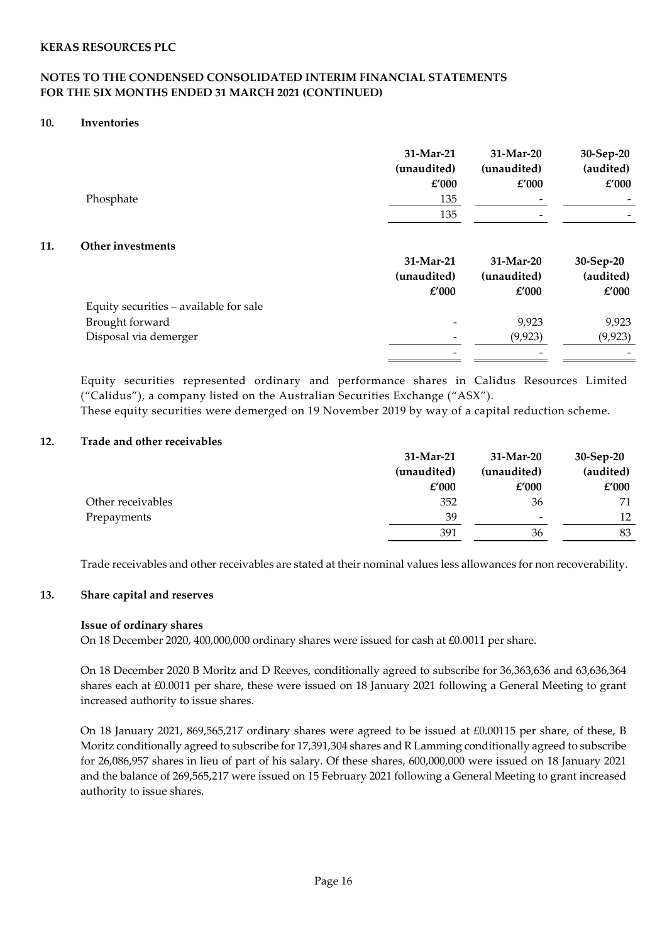### **NOTES TO THE CONDENSED CONSOLIDATED INTERIM FINANCIAL STATEMENTS FOR THE SIX MONTHS ENDED 31 MARCH 2021 (CONTINUED)**

#### **10. Inventories**

|     | Phosphate                              | 31-Mar-21<br>(unaudited)<br>£'000<br>135<br>135 | 31-Mar-20<br>(unaudited)<br>$\pounds'000$ | 30-Sep-20<br>(audited)<br>£'000 |
|-----|----------------------------------------|-------------------------------------------------|-------------------------------------------|---------------------------------|
| 11. | Other investments                      |                                                 |                                           |                                 |
|     |                                        | 31-Mar-21                                       | 31-Mar-20                                 | 30-Sep-20                       |
|     |                                        | (unaudited)                                     | (unaudited)                               | (audited)                       |
|     |                                        | £'000                                           | £'000                                     | £'000                           |
|     | Equity securities - available for sale |                                                 |                                           |                                 |
|     | Brought forward                        |                                                 | 9,923                                     | 9,923                           |
|     | Disposal via demerger                  |                                                 | (9, 923)                                  | (9, 923)                        |
|     |                                        |                                                 |                                           |                                 |

Equity securities represented ordinary and performance shares in Calidus Resources Limited ("Calidus"), a company listed on the Australian Securities Exchange ("ASX").

These equity securities were demerged on 19 November 2019 by way of a capital reduction scheme.

### **12. Trade and other receivables**

|                   | 31-Mar-21   | 31-Mar-20   | $30-Sep-20$ |
|-------------------|-------------|-------------|-------------|
|                   | (unaudited) | (unaudited) | (audited)   |
|                   | £'000       | £'000       | £'000       |
| Other receivables | 352         | 36          | 71          |
| Prepayments       | 39          | -           | 12          |
|                   | 391         | 36          | 83          |

Trade receivables and other receivables are stated at their nominal values less allowances for non recoverability.

#### **13. Share capital and reserves**

#### **Issue of ordinary shares**

On 18 December 2020, 400,000,000 ordinary shares were issued for cash at £0.0011 per share.

On 18 December 2020 B Moritz and D Reeves, conditionally agreed to subscribe for 36,363,636 and 63,636,364 shares each at £0.0011 per share, these were issued on 18 January 2021 following a General Meeting to grant increased authority to issue shares.

On 18 January 2021, 869,565,217 ordinary shares were agreed to be issued at £0.00115 per share, of these, B Moritz conditionally agreed to subscribe for 17,391,304 shares and R Lamming conditionally agreed to subscribe for 26,086,957 shares in lieu of part of his salary. Of these shares, 600,000,000 were issued on 18 January 2021 and the balance of 269,565,217 were issued on 15 February 2021 following a General Meeting to grant increased authority to issue shares.